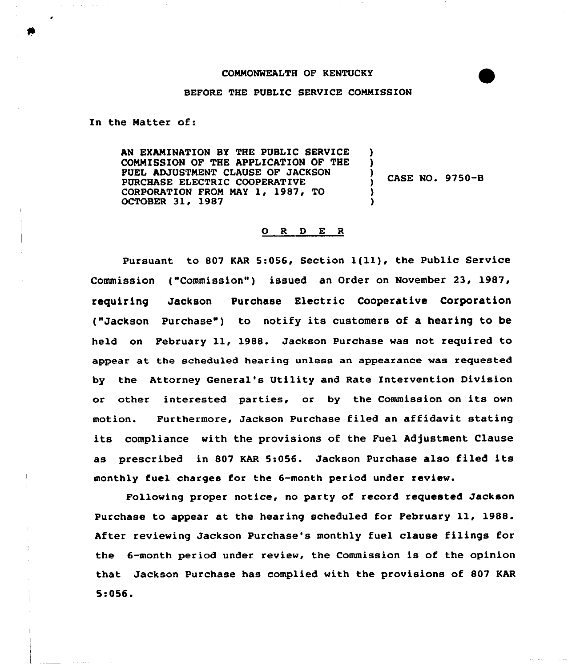## COMMONWEALTH OF KENTUCKY



## BEFORE THE PUBLIC SERVICE COMMISSION

In the Matter of:

AN EXAMINATION BY THE PUBLIC SERVICE COMMISSION OF THE APPLICATION OF THE FUEL ADJUSTMENT CLAUSE OF JACKSON PURCHASE ELECTRIC COOPERATIVE CORPORATION FROM MAY 1, 1987, TO OCTOBER 31, 1987 ) ) ) CASE NO. 9750-B ) )

## 0 <sup>R</sup> <sup>D</sup> E <sup>R</sup>

Pursuant to <sup>807</sup> KAR 5:056, Section 1(ll), the Public Service Commission ("Commission") issued an Order on November 23, 1987, requiring Jackson Purchase Electric Cooperative Corporation ("Jackson Purchase") to notify its customers of a hearing to be held an February ll, 1988. Jackson Purchase was not required to appear at the scheduled hearing unless an appearance was requested by the Attorney General's Utility and Rate Intervention Division or other interested parties, or by the Commission on its own motion. Furthermore, Jackson Purchase filed an affidavit stating its compliance with the provisions of the Fuel Adjustment Clause as prescribed in <sup>807</sup> KAR 5:056. Jackson Purchase also filed its monthly fuel charges for the 6-month per'iod under review.

Fallowing proper notice, no party af record requested Jackson Purchase to appear at the hearing scheduled for February ll, 1988. After reviewing Jackson Purchase's monthly fuel clause filings for the 6-month period under review, the Commission is of the opinion that Jackson Purchase has complied with the provisions of 807 KAR 5:056.